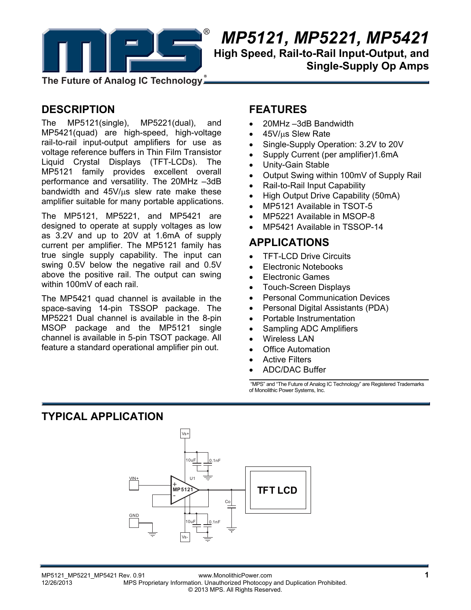

# *MP5121, MP5221, MP5421*  **High Speed, Rail-to-Rail Input-Output, and Single-Supply Op Amps**

**The Future of Analog IC Technology**

## **DESCRIPTION**

The MP5121(single), MP5221(dual), and MP5421(quad) are high-speed, high-voltage rail-to-rail input-output amplifiers for use as voltage reference buffers in Thin Film Transistor Liquid Crystal Displays (TFT-LCDs). The MP5121 family provides excellent overall performance and versatility. The 20MHz –3dB bandwidth and  $45V/\mu s$  slew rate make these amplifier suitable for many portable applications.

The MP5121, MP5221, and MP5421 are designed to operate at supply voltages as low as 3.2V and up to 20V at 1.6mA of supply current per amplifier. The MP5121 family has true single supply capability. The input can swing 0.5V below the negative rail and 0.5V above the positive rail. The output can swing within 100mV of each rail.

The MP5421 quad channel is available in the space-saving 14-pin TSSOP package. The MP5221 Dual channel is available in the 8-pin MSOP package and the MP5121 single channel is available in 5-pin TSOT package. All feature a standard operational amplifier pin out.

## **FEATURES**

- 20MHz –3dB Bandwidth
- 45V/us Slew Rate
- Single-Supply Operation: 3.2V to 20V
- Supply Current (per amplifier)1.6mA
- Unity-Gain Stable
- Output Swing within 100mV of Supply Rail
- Rail-to-Rail Input Capability
- High Output Drive Capability (50mA)
- MP5121 Available in TSOT-5
- MP5221 Available in MSOP-8
- MP5421 Available in TSSOP-14

### **APPLICATIONS**

- TFT-LCD Drive Circuits
- Electronic Notebooks
- Electronic Games
- Touch-Screen Displays
- Personal Communication Devices
- Personal Digital Assistants (PDA)
- Portable Instrumentation
- Sampling ADC Amplifiers
- Wireless LAN
- Office Automation
- Active Filters
- ADC/DAC Buffer

 "MPS" and "The Future of Analog IC Technology" are Registered Trademarks of Monolithic Power Systems, Inc.

## **TYPICAL APPLICATION**

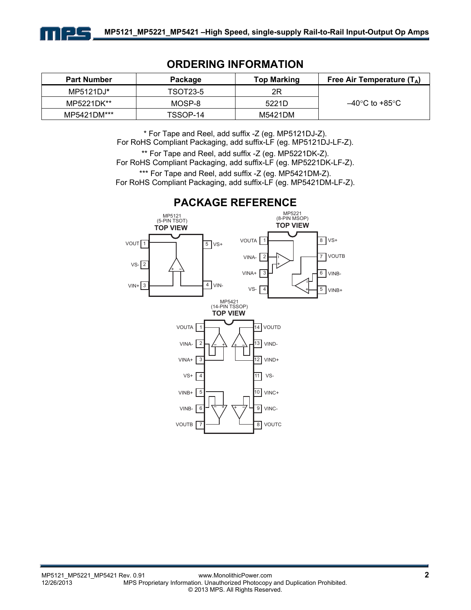

### **ORDERING INFORMATION**

| <b>Part Number</b> | Package  | <b>Top Marking</b> | Free Air Temperature $(T_A)$ |
|--------------------|----------|--------------------|------------------------------|
| $MP5121DJ^*$       | TSOT23-5 | 2R                 |                              |
| MP5221DK**         | MOSP-8   | 5221D              | –40°C to +85°C               |
| MP5421DM***        | TSSOP-14 | M5421DM            |                              |

\* For Tape and Reel, add suffix -Z (eg. MP5121DJ-Z). For RoHS Compliant Packaging, add suffix-LF (eg. MP5121DJ-LF-Z).

\*\* For Tape and Reel, add suffix -Z (eg. MP5221DK-Z). For RoHS Compliant Packaging, add suffix-LF (eg. MP5221DK-LF-Z). \*\*\* For Tape and Reel, add suffix -Z (eg. MP5421DM-Z). For RoHS Compliant Packaging, add suffix-LF (eg. MP5421DM-LF-Z).

**TOP VIEW TOP VIEW** +--  $-$  + +-- -- + + -- + +  $VOUT$ <sup>1</sup> **TOP VIEW** (14-PIN TSSOP) 1 4 3 2 8 VS+ 5 6 VINB- $\overline{7}$ 5 VOUT VS+ 4 2 VS-VIN+|3 <del>| July</del> 4 | VIN-VOUTA MP5121 (5-PIN TSOT) MP5421 MP5221 (8-PIN MSOP) VINA-VS-VOUTB VINB+ VINA+ 1  $\Box$ 3 2 VOUTA VINA-VS+ VINA+ VOUTB | 7 6  $VINB+ | 5$  10 14 VOUTD 11 12 13 8 9 VINB-VIND-VS-VIND+ VINC+ VOUTC VINC-

### **PACKAGE REFERENCE**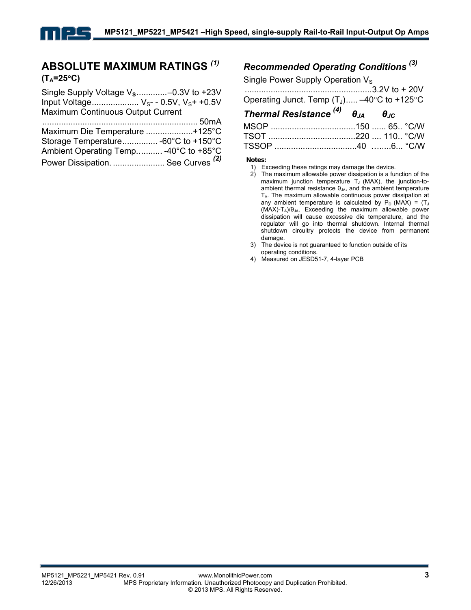### **ABSOLUTE MAXIMUM RATINGS** *(1)*  $(T_A=25^\circ C)$

| Single Supply Voltage V <sub>s</sub> -0.3V to +23V |  |
|----------------------------------------------------|--|
| Input Voltage $V_{S}$ - - 0.5V, $V_{S}$ + +0.5V    |  |
| Maximum Continuous Output Current                  |  |
|                                                    |  |
| Maximum Die Temperature +125°C                     |  |
| Storage Temperature -60°C to +150°C                |  |
| Ambient Operating Temp -40°C to +85°C              |  |
| Power Dissipation.  See Curves <sup>(2)</sup>      |  |

# *Recommended Operating Conditions (3)*

Single Power Supply Operation  $V_S$ 

| Operating Junct. Temp $(T_1)$ -40°C to +125°C           |  |  |
|---------------------------------------------------------|--|--|
| Thermal Resistance $^{(4)}$ $\theta_{JA}$ $\theta_{JC}$ |  |  |
|                                                         |  |  |
|                                                         |  |  |
|                                                         |  |  |

**Notes:** 

- 2) The maximum allowable power dissipation is a function of the maximum junction temperature  $T_J$  (MAX), the junction-toambient thermal resistance  $\theta_{JA}$ , and the ambient temperature TA. The maximum allowable continuous power dissipation at any ambient temperature is calculated by  $P_D$  (MAX) = (TJ)  $(MAX)-T_A)/\theta_{JA}$ . Exceeding the maximum allowable power dissipation will cause excessive die temperature, and the regulator will go into thermal shutdown. Internal thermal shutdown circuitry protects the device from permanent damage.
- 3) The device is not guaranteed to function outside of its operating conditions.
- 4) Measured on JESD51-7, 4-layer PCB

<sup>1)</sup> Exceeding these ratings may damage the device.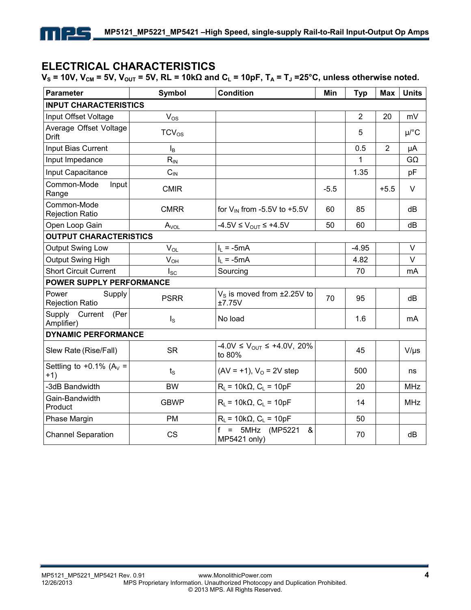## **ELECTRICAL CHARACTERISTICS**

1 | 2.5

 $V_s$  = 10V,  $V_{CM}$  = 5V,  $V_{OUT}$  = 5V, RL = 10kΩ and C<sub>L</sub> = 10pF, T<sub>A</sub> = T<sub>J</sub> = 25°C, unless otherwise noted.

| <b>Parameter</b>                          | Symbol         | <b>Condition</b>                                     | Min    | <b>Typ</b>     | <b>Max</b>     | <b>Units</b> |
|-------------------------------------------|----------------|------------------------------------------------------|--------|----------------|----------------|--------------|
| <b>INPUT CHARACTERISTICS</b>              |                |                                                      |        |                |                |              |
| Input Offset Voltage                      | $V_{OS}$       |                                                      |        | $\overline{2}$ | 20             | mV           |
| Average Offset Voltage<br><b>Drift</b>    | $TCV_{OS}$     |                                                      |        | 5              |                | $\mu$ /°C    |
| Input Bias Current                        | $I_{\text{B}}$ |                                                      |        | 0.5            | $\overline{2}$ | μA           |
| Input Impedance                           | $R_{IN}$       |                                                      |        | 1              |                | $G\Omega$    |
| Input Capacitance                         | $C_{IN}$       |                                                      |        | 1.35           |                | pF           |
| Common-Mode<br>Input<br>Range             | <b>CMIR</b>    |                                                      | $-5.5$ |                | $+5.5$         | $\vee$       |
| Common-Mode<br><b>Rejection Ratio</b>     | <b>CMRR</b>    | for $V_{\text{IN}}$ from -5.5V to +5.5V              | 60     | 85             |                | dB           |
| Open Loop Gain                            | $A_{VOL}$      | -4.5V ≤ $V_{OUT}$ ≤ +4.5V                            | 50     | 60             |                | dB           |
| <b>OUTPUT CHARACTERISTICS</b>             |                |                                                      |        |                |                |              |
| Output Swing Low                          | $V_{OL}$       | $I_L = -5mA$                                         |        | $-4.95$        |                | $\vee$       |
| Output Swing High                         | $V_{OH}$       | $I_1 = -5mA$                                         |        | 4.82           |                | $\vee$       |
| <b>Short Circuit Current</b>              | $I_{SC}$       | Sourcing                                             |        | 70             |                | mA           |
| POWER SUPPLY PERFORMANCE                  |                |                                                      |        |                |                |              |
| Power<br>Supply<br><b>Rejection Ratio</b> | <b>PSRR</b>    | $VS$ is moved from $\pm 2.25V$ to<br>±7.75V          | 70     | 95             |                | dB           |
| Supply<br>Current<br>(Per<br>Amplifier)   | $I_{\rm S}$    | No load                                              |        | 1.6            |                | mA           |
| <b>DYNAMIC PERFORMANCE</b>                |                |                                                      |        |                |                |              |
| Slew Rate (Rise/Fall)                     | <b>SR</b>      | $-4.0V \le V_{\text{OUT}} \le +4.0V, 20\%$<br>to 80% |        | 45             |                | $V/\mu s$    |
| Settling to +0.1% ( $A_V$ =<br>$+1)$      | $t_{\rm S}$    | $(AV = +1), VO = 2V step$                            |        | 500            |                | ns           |
| -3dB Bandwidth                            | <b>BW</b>      | $R_L$ = 10k $\Omega$ , $C_L$ = 10pF                  |        | 20             |                | <b>MHz</b>   |
| Gain-Bandwidth<br>Product                 | <b>GBWP</b>    | $R_L$ = 10k $\Omega$ , $C_L$ = 10pF                  |        | 14             |                | <b>MHz</b>   |
| Phase Margin                              | <b>PM</b>      | $R_L$ = 10k $\Omega$ , $C_L$ = 10pF                  |        | 50             |                |              |
| <b>Channel Separation</b>                 | <b>CS</b>      | $=$<br>5MHz (MP5221<br>&<br>MP5421 only)             |        | 70             |                | dB           |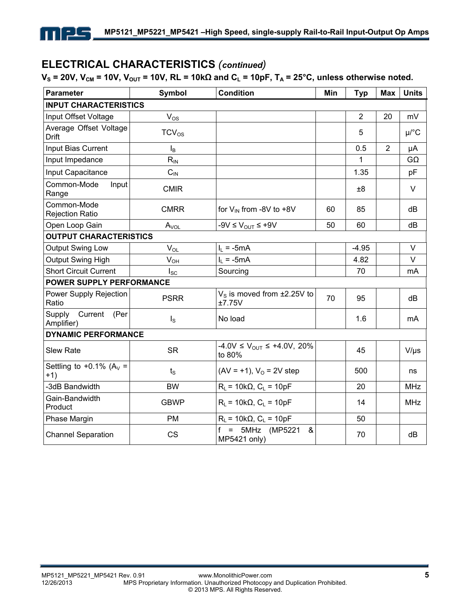## **ELECTRICAL CHARACTERISTICS** *(continued)*

1 | 2.5

### $V_s = 20V$ ,  $V_{CM} = 10V$ ,  $V_{OUT} = 10V$ ,  $RL = 10kΩ$  and  $C_L = 10pF$ ,  $T_A = 25°C$ , unless otherwise noted.

| <b>Parameter</b>                        | Symbol                     | <b>Condition</b>                                     | Min | <b>Typ</b>     | <b>Max</b>     | <b>Units</b>           |
|-----------------------------------------|----------------------------|------------------------------------------------------|-----|----------------|----------------|------------------------|
| <b>INPUT CHARACTERISTICS</b>            |                            |                                                      |     |                |                |                        |
| Input Offset Voltage                    | $V_{OS}$                   |                                                      |     | $\overline{2}$ | 20             | mV                     |
| Average Offset Voltage<br><b>Drift</b>  | $TCV_{OS}$                 |                                                      |     | 5              |                | $\mu$ <sup>o</sup> $C$ |
| Input Bias Current                      | $I_{\mathsf{B}}$           |                                                      |     | 0.5            | $\overline{2}$ | μA                     |
| Input Impedance                         | $R_{IN}$                   |                                                      |     | 1              |                | $G\Omega$              |
| Input Capacitance                       | $C_{IN}$                   |                                                      |     | 1.35           |                | pF                     |
| Common-Mode<br>Input<br>Range           | <b>CMIR</b>                |                                                      |     | ±8             |                | $\vee$                 |
| Common-Mode<br><b>Rejection Ratio</b>   | <b>CMRR</b>                | for $V_{IN}$ from -8V to +8V                         | 60  | 85             |                | dB                     |
| Open Loop Gain                          | $A_{VOL}$                  | $-9V \leq V_{\text{OUT}} \leq +9V$                   | 50  | 60             |                | dB                     |
| <b>OUTPUT CHARACTERISTICS</b>           |                            |                                                      |     |                |                |                        |
| Output Swing Low                        | $\mathsf{V}_{\mathsf{OL}}$ | $I_L = -5mA$                                         |     | $-4.95$        |                | $\vee$                 |
| Output Swing High                       | $V_{OH}$                   | $I_L = -5mA$                                         |     | 4.82           |                | V                      |
| <b>Short Circuit Current</b>            | $I_{SC}$                   | Sourcing                                             |     | 70             |                | mA                     |
| <b>POWER SUPPLY PERFORMANCE</b>         |                            |                                                      |     |                |                |                        |
| Power Supply Rejection<br>Ratio         | <b>PSRR</b>                | $VS$ is moved from $\pm 2.25V$ to<br>±7.75V          | 70  | 95             |                | dB                     |
| Supply<br>Current<br>(Per<br>Amplifier) | $I_{\rm S}$                | No load                                              |     | 1.6            |                | mA                     |
| <b>DYNAMIC PERFORMANCE</b>              |                            |                                                      |     |                |                |                        |
| <b>Slew Rate</b>                        | <b>SR</b>                  | $-4.0V \le V_{\text{OUT}} \le +4.0V, 20\%$<br>to 80% |     | 45             |                | $V/\mu s$              |
| Settling to +0.1% ( $A_V$ =<br>$+1)$    | $t_{\rm S}$                | $(AV = +1), VO = 2V step$                            |     | 500            |                | ns                     |
| -3dB Bandwidth                          | <b>BW</b>                  | $R_L$ = 10k $\Omega$ , $C_L$ = 10pF                  |     | 20             |                | <b>MHz</b>             |
| Gain-Bandwidth<br>Product               | <b>GBWP</b>                | $R_1 = 10k\Omega$ , $C_1 = 10pF$                     |     | 14             |                | <b>MHz</b>             |
| Phase Margin                            | <b>PM</b>                  | $R_L$ = 10k $\Omega$ , $C_L$ = 10pF                  |     | 50             |                |                        |
| <b>Channel Separation</b>               | <b>CS</b>                  | 5MHz (MP5221<br>$=$<br>&<br>MP5421 only)             |     | 70             |                | dB                     |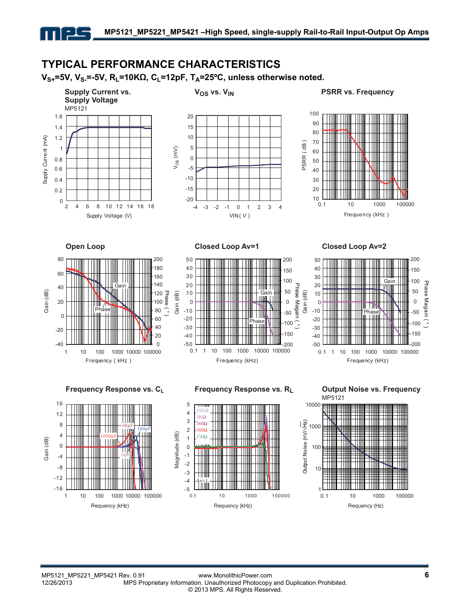## **TYPICAL PERFORMANCE CHARACTERISTICS**

**V<sub>S+</sub>=5V, V<sub>S-</sub>=-5V, R<sub>L</sub>=10KΩ, C<sub>L</sub>=12pF, T<sub>A</sub>=25°C, unless otherwise noted.** 

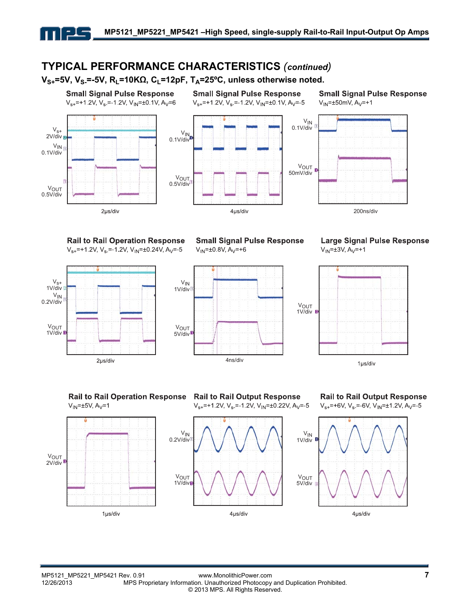## **TYPICAL PERFORMANCE CHARACTERISTICS** *(continued)*

V<sub>S+</sub>=5V, V<sub>S</sub> =-5V, R<sub>L</sub>=10KΩ, C<sub>L</sub>=12pF, T<sub>A</sub>=25<sup>o</sup>C, unless otherwise noted. **Small Signal Pulse Response Small Signal Pulse Response Small Signal Pulse Response**  $V_{s+}$ =+1.2V, V<sub>s</sub> = 1.2V, V<sub>IN</sub>=±0.1V, A<sub>V</sub>=6  $V_{s+}$ =+1.2V, V<sub>s</sub> =-1.2V, V<sub>IN</sub>=±0.1V, A<sub>V</sub>=-5  $V_{IN}$ =±50mV, A<sub>V</sub>=+1  $V_{IN}$ 0.1V/div  $V_{S^+}$ <br>2V/div  $V_{IN}$ <br>0.1V/div  $2V/div$  B  $V_{\text{IN}}$ 0.1V/div VOUT 50mV/div V<sub>OUT</sub> 0.5V/div **VOUT** 0.5V/div

2µs/div

**Rail to Rail Operation Response**  $V_{s+}$ =+1.2V, V<sub>s</sub> =-1.2V, V<sub>IN</sub>=±0.24V, A<sub>V</sub>=-5



**Small Signal Pulse Response**  $V_{1N} = \pm 0.8V$ , A<sub>V</sub>=+6

4µs/div



**Large Signal Pulse Response**  $V_{IN} = \pm 3V$ ,  $A_V = +1$ 

200ns/div



**Rail to Rail Operation Response**  $V_{IN}$ =±5V, A<sub>V</sub>=1



**Rail to Rail Output Response**  $V_{s+}$ =+1 2V, V<sub>s</sub> = 1 2V, V<sub>IN</sub>=±0 22V, A<sub>V</sub>=-5





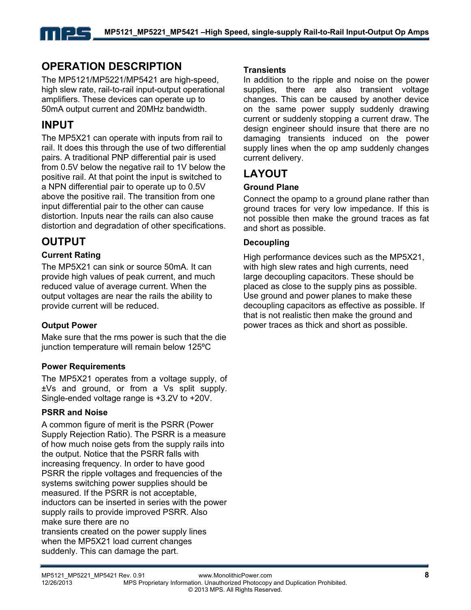## **OPERATION DESCRIPTION**

The MP5121/MP5221/MP5421 are high-speed, high slew rate, rail-to-rail input-output operational amplifiers. These devices can operate up to 50mA output current and 20MHz bandwidth.

## **INPUT**

The MP5X21 can operate with inputs from rail to rail. It does this through the use of two differential pairs. A traditional PNP differential pair is used from 0.5V below the negative rail to 1V below the positive rail. At that point the input is switched to a NPN differential pair to operate up to 0.5V above the positive rail. The transition from one input differential pair to the other can cause distortion. Inputs near the rails can also cause distortion and degradation of other specifications.

## **OUTPUT**

### **Current Rating**

The MP5X21 can sink or source 50mA. It can provide high values of peak current, and much reduced value of average current. When the output voltages are near the rails the ability to provide current will be reduced.

#### **Output Power**

Make sure that the rms power is such that the die junction temperature will remain below 125ºC

#### **Power Requirements**

The MP5X21 operates from a voltage supply, of ±Vs and ground, or from a Vs split supply. Single-ended voltage range is +3.2V to +20V.

#### **PSRR and Noise**

A common figure of merit is the PSRR (Power Supply Rejection Ratio). The PSRR is a measure of how much noise gets from the supply rails into the output. Notice that the PSRR falls with increasing frequency. In order to have good PSRR the ripple voltages and frequencies of the systems switching power supplies should be measured. If the PSRR is not acceptable, inductors can be inserted in series with the power supply rails to provide improved PSRR. Also make sure there are no transients created on the power supply lines when the MP5X21 load current changes suddenly. This can damage the part.

#### **Transients**

In addition to the ripple and noise on the power supplies, there are also transient voltage changes. This can be caused by another device on the same power supply suddenly drawing current or suddenly stopping a current draw. The design engineer should insure that there are no damaging transients induced on the power supply lines when the op amp suddenly changes current delivery.

## **LAYOUT**

#### **Ground Plane**

Connect the opamp to a ground plane rather than ground traces for very low impedance. If this is not possible then make the ground traces as fat and short as possible.

#### **Decoupling**

High performance devices such as the MP5X21, with high slew rates and high currents, need large decoupling capacitors. These should be placed as close to the supply pins as possible. Use ground and power planes to make these decoupling capacitors as effective as possible. If that is not realistic then make the ground and power traces as thick and short as possible.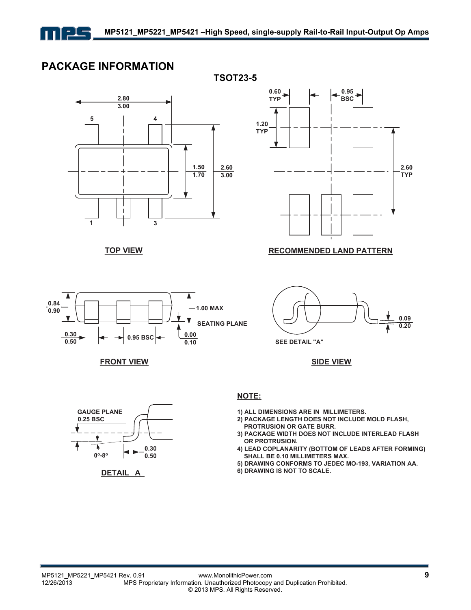

**TSOT23-5** 

### **PACKAGE INFORMATION**



**TOP VIEW**









#### **NOTE:**

**1) ALL DIMENSIONS ARE IN MILLIMETERS.**

**SEE DETAIL "A"**

- **2) PACKAGE LENGTH DOES NOT INCLUDE MOLD FLASH, PROTRUSION OR GATE BURR.**
- **3) PACKAGE WIDTH DOES NOT INCLUDE INTERLEAD FLASH OR PROTRUSION.**
- **4) LEAD COPLANARITY (BOTTOM OF LEADS AFTER FORMING) SHALL BE 0.10 MILLIMETERS MAX.**
- **5) DRAWING CONFORMS TO JEDEC MO-193, VARIATION AA.**
- **6) DRAWING IS NOT TO SCALE.**

**0.09 0.20**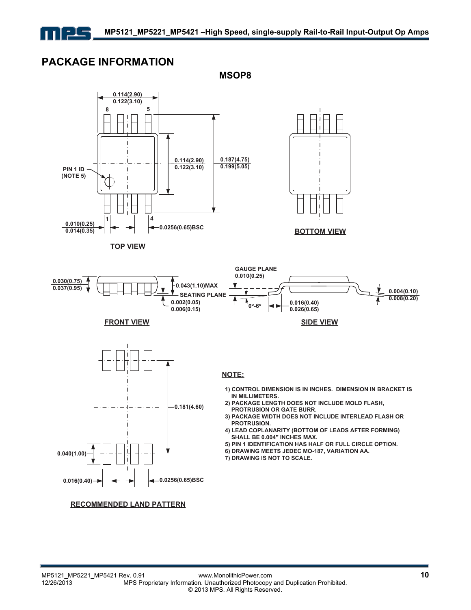

## **PACKAGE INFORMATION**